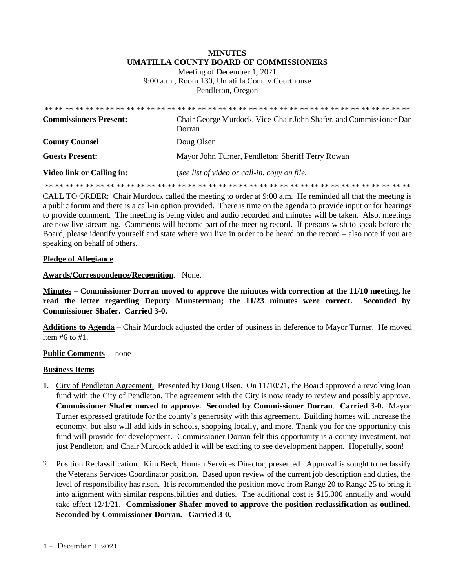## **MINUTES UMATILLA COUNTY BOARD OF COMMISSIONERS**

Meeting of December 1, 2021 9:00 a.m., Room 130, Umatilla County Courthouse Pendleton, Oregon

| <b>Commissioners Present:</b>    | Chair George Murdock, Vice-Chair John Shafer, and Commissioner Dan<br>Dorran |
|----------------------------------|------------------------------------------------------------------------------|
| <b>County Counsel</b>            | Doug Olsen                                                                   |
| <b>Guests Present:</b>           | Mayor John Turner, Pendleton; Sheriff Terry Rowan                            |
| <b>Video link or Calling in:</b> | (see list of video or call-in, copy on file.                                 |
|                                  |                                                                              |

CALL TO ORDER: Chair Murdock called the meeting to order at 9:00 a.m. He reminded all that the meeting is a public forum and there is a call-in option provided. There is time on the agenda to provide input or for hearings to provide comment. The meeting is being video and audio recorded and minutes will be taken. Also, meetings are now live-streaming*.* Comments will become part of the meeting record. If persons wish to speak before the Board, please identify yourself and state where you live in order to be heard on the record – also note if you are speaking on behalf of others.

## **Pledge of Allegiance**

## **Awards/Correspondence/Recognition**. None.

**Minutes – Commissioner Dorran moved to approve the minutes with correction at the 11/10 meeting, he read the letter regarding Deputy Munsterman; the 11/23 minutes were correct. Seconded by Commissioner Shafer. Carried 3-0.** 

**Additions to Agenda** – Chair Murdock adjusted the order of business in deference to Mayor Turner. He moved item #6 to #1.

## **Public Comments** – none

## **Business Items**

- 1. City of Pendleton Agreement. Presented by Doug Olsen. On 11/10/21, the Board approved a revolving loan fund with the City of Pendleton. The agreement with the City is now ready to review and possibly approve. **Commissioner Shafer moved to approve. Seconded by Commissioner Dorran**. **Carried 3-0.** Mayor Turner expressed gratitude for the county's generosity with this agreement. Building homes will increase the economy, but also will add kids in schools, shopping locally, and more. Thank you for the opportunity this fund will provide for development. Commissioner Dorran felt this opportunity is a county investment, not just Pendleton, and Chair Murdock added it will be exciting to see development happen. Hopefully, soon!
- 2. Position Reclassification. Kim Beck, Human Services Director, presented. Approval is sought to reclassify the Veterans Services Coordinator position. Based upon review of the current job description and duties, the level of responsibility has risen. It is recommended the position move from Range 20 to Range 25 to bring it into alignment with similar responsibilities and duties. The additional cost is \$15,000 annually and would take effect 12/1/21. **Commissioner Shafer moved to approve the position reclassification as outlined. Seconded by Commissioner Dorran. Carried 3-0.**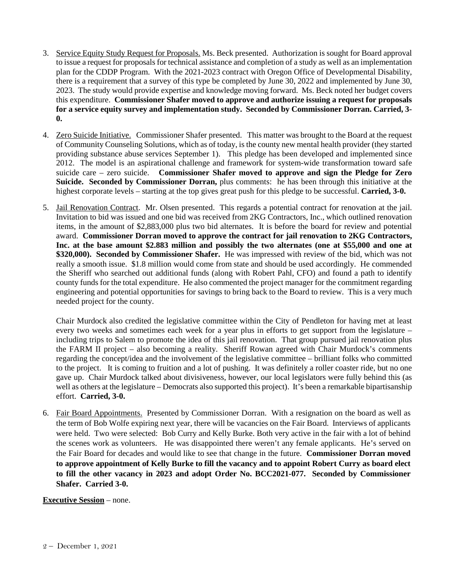- 3. Service Equity Study Request for Proposals. Ms. Beck presented. Authorization is sought for Board approval to issue a request for proposals for technical assistance and completion of a study as well as an implementation plan for the CDDP Program. With the 2021-2023 contract with Oregon Office of Developmental Disability, there is a requirement that a survey of this type be completed by June 30, 2022 and implemented by June 30, 2023. The study would provide expertise and knowledge moving forward. Ms. Beck noted her budget covers this expenditure. **Commissioner Shafer moved to approve and authorize issuing a request for proposals for a service equity survey and implementation study. Seconded by Commissioner Dorran. Carried, 3- 0.**
- 4. Zero Suicide Initiative. Commissioner Shafer presented. This matter was brought to the Board at the request of Community Counseling Solutions, which as of today, is the county new mental health provider (they started providing substance abuse services September 1). This pledge has been developed and implemented since 2012. The model is an aspirational challenge and framework for system-wide transformation toward safe suicide care – zero suicide. **Commissioner Shafer moved to approve and sign the Pledge for Zero Suicide. Seconded by Commissioner Dorran,** plus comments: he has been through this initiative at the highest corporate levels – starting at the top gives great push for this pledge to be successful. **Carried, 3-0.**
- 5. Jail Renovation Contract. Mr. Olsen presented. This regards a potential contract for renovation at the jail. Invitation to bid was issued and one bid was received from 2KG Contractors, Inc., which outlined renovation items, in the amount of \$2,883,000 plus two bid alternates. It is before the board for review and potential award. **Commissioner Dorran moved to approve the contract for jail renovation to 2KG Contractors, Inc. at the base amount \$2.883 million and possibly the two alternates (one at \$55,000 and one at \$320,000). Seconded by Commissioner Shafer.** He was impressed with review of the bid, which was not really a smooth issue. \$1.8 million would come from state and should be used accordingly. He commended the Sheriff who searched out additional funds (along with Robert Pahl, CFO) and found a path to identify county funds for the total expenditure. He also commented the project manager for the commitment regarding engineering and potential opportunities for savings to bring back to the Board to review. This is a very much needed project for the county.

Chair Murdock also credited the legislative committee within the City of Pendleton for having met at least every two weeks and sometimes each week for a year plus in efforts to get support from the legislature – including trips to Salem to promote the idea of this jail renovation. That group pursued jail renovation plus the FARM II project – also becoming a reality. Sheriff Rowan agreed with Chair Murdock's comments regarding the concept/idea and the involvement of the legislative committee – brilliant folks who committed to the project. It is coming to fruition and a lot of pushing. It was definitely a roller coaster ride, but no one gave up. Chair Murdock talked about divisiveness, however, our local legislators were fully behind this (as well as others at the legislature – Democrats also supported this project). It's been a remarkable bipartisanship effort. **Carried, 3-0.**

6. Fair Board Appointments. Presented by Commissioner Dorran. With a resignation on the board as well as the term of Bob Wolfe expiring next year, there will be vacancies on the Fair Board. Interviews of applicants were held. Two were selected: Bob Curry and Kelly Burke. Both very active in the fair with a lot of behind the scenes work as volunteers. He was disappointed there weren't any female applicants. He's served on the Fair Board for decades and would like to see that change in the future. **Commissioner Dorran moved to approve appointment of Kelly Burke to fill the vacancy and to appoint Robert Curry as board elect to fill the other vacancy in 2023 and adopt Order No. BCC2021-077. Seconded by Commissioner Shafer. Carried 3-0.**

## **Executive Session** – none.